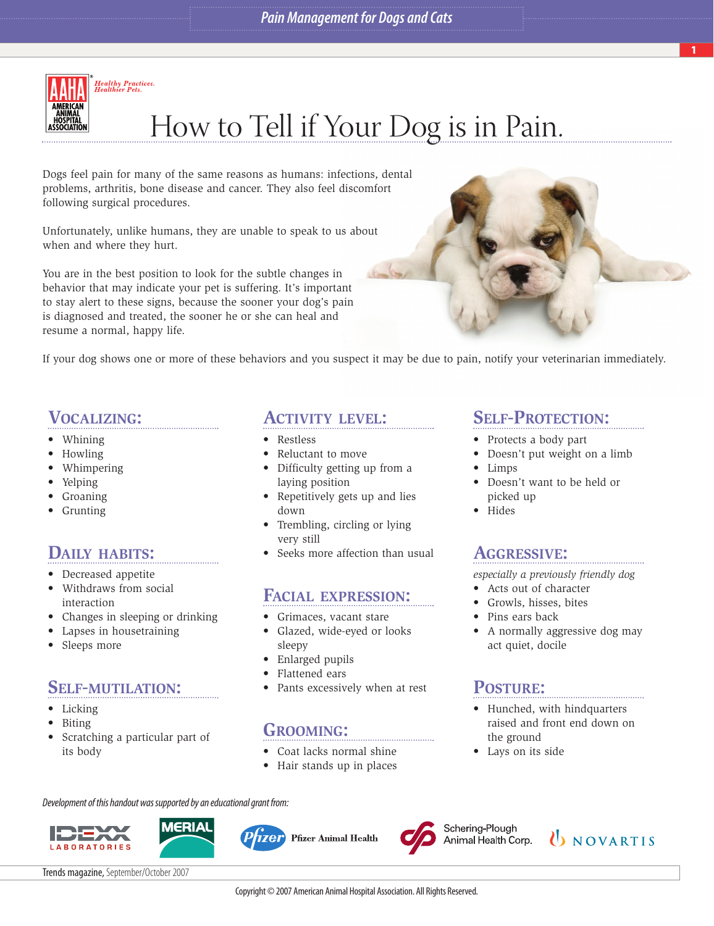

# How to Tell if Your Dog is in Pain.

Dogs feel pain for many of the same reasons as humans: infections, dental problems, arthritis, bone disease and cancer. They also feel discomfort following surgical procedures.

Unfortunately, unlike humans, they are unable to speak to us about when and where they hurt.

You are in the best position to look for the subtle changes in behavior that may indicate your pet is suffering. It's important to stay alert to these signs, because the sooner your dog's pain is diagnosed and treated, the sooner he or she can heal and resume a normal, happy life.



If your dog shows one or more of these behaviors and you suspect it may be due to pain, notify your veterinarian immediately.

#### **VOCALIZING:**

- Whining
- Howling
- Whimpering
- Yelping
- Groaning
- Grunting

## **DAILY HABITS:**

- Decreased appetite
- Withdraws from social interaction
- Changes in sleeping or drinking
- Lapses in housetraining
- Sleeps more

#### **SELF-MUTILATION:**

- Licking
- Biting
- Scratching a particular part of its body

#### **ACTIVITY LEVEL:**

- Restless
- Reluctant to move
- Difficulty getting up from a laying position
- Repetitively gets up and lies down
- Trembling, circling or lying very still
- Seeks more affection than usual

#### **FACIAL EXPRESSION:**

- Grimaces, vacant stare
- Glazed, wide-eyed or looks sleepy
- Enlarged pupils
- Flattened ears
- Pants excessively when at rest

#### **GROOMING:**

- Coat lacks normal shine
- Hair stands up in places

Development of this handout was supported by an educational grant from:





*izer* **Pfizer Animal Health** 



Schering-Plough Animal Health Corp.

#### **SELF-PROTECTION:**

- Protects a body part
- Doesn't put weight on a limb
- Limps
- Doesn't want to be held or picked up
- Hides

#### **AGGRESSIVE:**

*especially a previously friendly dog*

- Acts out of character
- Growls, hisses, bites
- Pins ears back
- A normally aggressive dog may act quiet, docile

## **POSTURE:**

- Hunched, with hindquarters raised and front end down on the ground
- Lays on its side



Trends magazine, September/October 2007